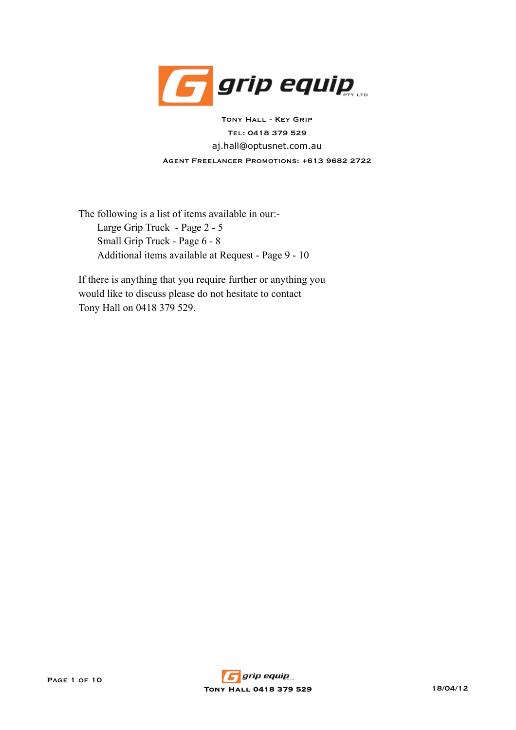

aj.hall@optusnet.com.au Tony Hall - Key Grip Tel: 0418 379 529 Agent Freelancer Promotions: +613 9682 2722

The following is a list of items available in our:- Large Grip Truck - Page 2 - 5 Small Grip Truck - Page 6 - 8 Additional items available at Request - Page 9 - 10

If there is anything that you require further or anything you would like to discuss please do not hesitate to contact Tony Hall on 0418 379 529.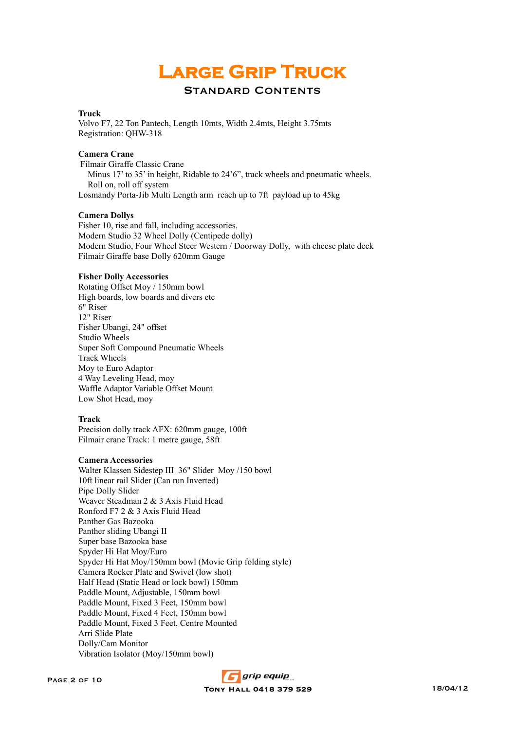# **Large Grip Truck**

## Standard Contents

### **Truck**

Volvo F7, 22 Ton Pantech, Length 10mts, Width 2.4mts, Height 3.75mts Registration: QHW-318

### **Camera Crane**

 Filmair Giraffe Classic Crane Minus 17' to 35' in height, Ridable to 24'6", track wheels and pneumatic wheels. Roll on, roll off system Losmandy Porta-Jib Multi Length arm reach up to 7ft payload up to 45kg

### **Camera Dollys**

Fisher 10, rise and fall, including accessories. Modern Studio 32 Wheel Dolly (Centipede dolly) Modern Studio, Four Wheel Steer Western / Doorway Dolly, with cheese plate deck Filmair Giraffe base Dolly 620mm Gauge

#### **Fisher Dolly Accessories**

Rotating Offset Moy / 150mm bowl High boards, low boards and divers etc 6" Riser 12" Riser Fisher Ubangi, 24" offset Studio Wheels Super Soft Compound Pneumatic Wheels Track Wheels Moy to Euro Adaptor 4 Way Leveling Head, moy Waffle Adaptor Variable Offset Mount Low Shot Head, moy

### **Track**

Precision dolly track AFX: 620mm gauge, 100ft Filmair crane Track: 1 metre gauge, 58ft

### **Camera Accessories**

Walter Klassen Sidestep III 36" Slider Moy /150 bowl 10ft linear rail Slider (Can run Inverted) Pipe Dolly Slider Weaver Steadman 2 & 3 Axis Fluid Head Ronford F7 2 & 3 Axis Fluid Head Panther Gas Bazooka Panther sliding Ubangi II Super base Bazooka base Spyder Hi Hat Moy/Euro Spyder Hi Hat Moy/150mm bowl (Movie Grip folding style) Camera Rocker Plate and Swivel (low shot) Half Head (Static Head or lock bowl) 150mm Paddle Mount, Adjustable, 150mm bowl Paddle Mount, Fixed 3 Feet, 150mm bowl Paddle Mount, Fixed 4 Feet, 150mm bowl Paddle Mount, Fixed 3 Feet, Centre Mounted Arri Slide Plate Dolly/Cam Monitor Vibration Isolator (Moy/150mm bowl)

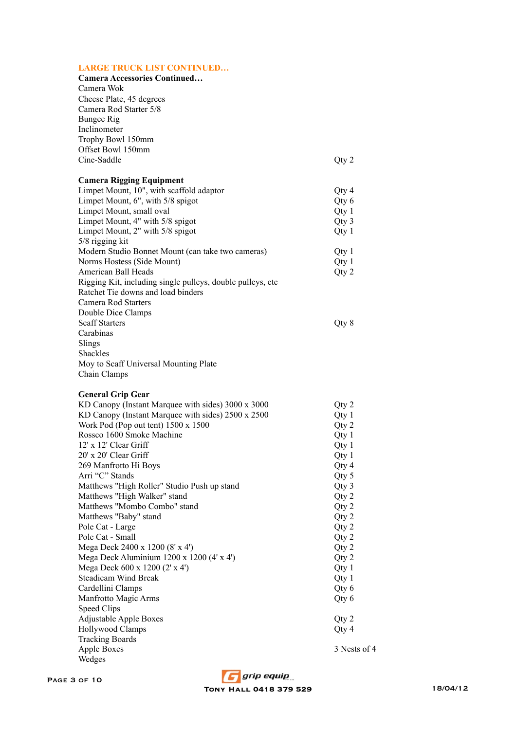# **LARGE TRUCK LIST CONTINUED…**

| EARNE TRUCK ERT CONTH                                                                            |              |
|--------------------------------------------------------------------------------------------------|--------------|
| Camera Accessories Continued                                                                     |              |
| Camera Wok                                                                                       |              |
| Cheese Plate, 45 degrees                                                                         |              |
| Camera Rod Starter 5/8                                                                           |              |
| <b>Bungee Rig</b>                                                                                |              |
| Inclinometer                                                                                     |              |
| Trophy Bowl 150mm                                                                                |              |
| Offset Bowl 150mm                                                                                |              |
| Cine-Saddle                                                                                      | Qty 2        |
|                                                                                                  |              |
| <b>Camera Rigging Equipment</b>                                                                  |              |
| Limpet Mount, 10", with scaffold adaptor                                                         | Qty 4        |
| Limpet Mount, 6", with 5/8 spigot                                                                | Qty 6        |
| Limpet Mount, small oval                                                                         | Qty 1        |
| Limpet Mount, 4" with 5/8 spigot                                                                 | Qty 3        |
| Limpet Mount, 2" with 5/8 spigot                                                                 | Qty 1        |
| 5/8 rigging kit                                                                                  |              |
| Modern Studio Bonnet Mount (can take two cameras)                                                | Qty 1        |
| Norms Hostess (Side Mount)                                                                       | Qty 1        |
| American Ball Heads                                                                              |              |
|                                                                                                  | Qty 2        |
| Rigging Kit, including single pulleys, double pulleys, etc<br>Ratchet Tie downs and load binders |              |
|                                                                                                  |              |
| <b>Camera Rod Starters</b>                                                                       |              |
| Double Dice Clamps                                                                               |              |
| <b>Scaff Starters</b>                                                                            | Qty 8        |
| Carabinas                                                                                        |              |
| Slings                                                                                           |              |
| Shackles                                                                                         |              |
| Moy to Scaff Universal Mounting Plate                                                            |              |
| Chain Clamps                                                                                     |              |
|                                                                                                  |              |
| <b>General Grip Gear</b>                                                                         |              |
| KD Canopy (Instant Marquee with sides) 3000 x 3000                                               | Qty 2        |
| KD Canopy (Instant Marquee with sides) 2500 x 2500                                               | Qty 1        |
| Work Pod (Pop out tent) 1500 x 1500                                                              | Qty 2        |
| Rossco 1600 Smoke Machine                                                                        | Qty 1        |
| 12' x 12' Clear Griff                                                                            | Qty1         |
| 20' x 20' Clear Griff                                                                            | Qty 1        |
| 269 Manfrotto Hi Boys                                                                            | Qty 4        |
| Arri "C" Stands                                                                                  | Qty 5        |
| Matthews "High Roller" Studio Push up stand                                                      | Qty 3        |
| Matthews "High Walker" stand                                                                     | Qty 2        |
| Matthews "Mombo Combo" stand                                                                     | Qty 2        |
| Matthews "Baby" stand                                                                            | Qty 2        |
| Pole Cat - Large                                                                                 | Qty 2        |
| Pole Cat - Small                                                                                 | Qty 2        |
| Mega Deck 2400 x 1200 (8' x 4')                                                                  | Qty 2        |
| Mega Deck Aluminium 1200 x 1200 (4' x 4')                                                        | Qty 2        |
| Mega Deck 600 x 1200 (2' x 4')                                                                   | Qty 1        |
| Steadicam Wind Break                                                                             | Qty 1        |
| Cardellini Clamps                                                                                | Qty 6        |
| Manfrotto Magic Arms                                                                             | Qty 6        |
| Speed Clips                                                                                      |              |
| <b>Adjustable Apple Boxes</b>                                                                    | Qty 2        |
| Hollywood Clamps                                                                                 | Qty 4        |
| <b>Tracking Boards</b>                                                                           |              |
| <b>Apple Boxes</b>                                                                               | 3 Nests of 4 |
| Wedges                                                                                           |              |

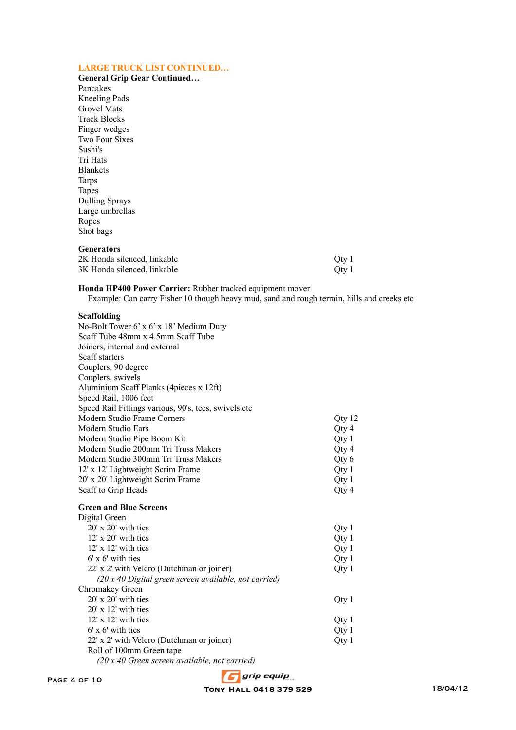## **LARGE TRUCK LIST CONTINUED…**

**General Grip Gear Continued…** Pancakes Kneeling Pads Grovel Mats Track Blocks Finger wedges Two Four Sixes Sushi's Tri Hats Blankets Tarps Tapes Dulling Sprays Large umbrellas Ropes Shot bags

### **Generators**

| 2K Honda silenced, linkable | Oty 1 |
|-----------------------------|-------|
| 3K Honda silenced, linkable | Oty 1 |

### **Honda HP400 Power Carrier:** Rubber tracked equipment mover

Example: Can carry Fisher 10 though heavy mud, sand and rough terrain, hills and creeks etc

### **Scaffolding**

| No-Bolt Tower 6' x 6' x 18' Medium Duty               |        |
|-------------------------------------------------------|--------|
| Scaff Tube 48mm x 4.5mm Scaff Tube                    |        |
| Joiners, internal and external                        |        |
| Scaff starters                                        |        |
| Couplers, 90 degree                                   |        |
| Couplers, swivels                                     |        |
| Aluminium Scaff Planks (4pieces x 12ft)               |        |
| Speed Rail, 1006 feet                                 |        |
| Speed Rail Fittings various, 90's, tees, swivels etc  |        |
| Modern Studio Frame Corners                           | Qty 12 |
| Modern Studio Ears                                    | Qty 4  |
| Modern Studio Pipe Boom Kit                           | Qty 1  |
| Modern Studio 200mm Tri Truss Makers                  | Qty 4  |
| Modern Studio 300mm Tri Truss Makers                  | Qty 6  |
| 12' x 12' Lightweight Scrim Frame                     | Qty 1  |
| 20' x 20' Lightweight Scrim Frame                     | Qty 1  |
| Scaff to Grip Heads                                   | Qty 4  |
| <b>Green and Blue Screens</b>                         |        |
| Digital Green                                         |        |
| $20'$ x $20'$ with ties                               | Qty 1  |
| 12' x 20' with ties                                   | Qty 1  |
| $12'$ x $12'$ with ties                               | Qty 1  |
| $6'$ x $6'$ with ties                                 | Qty 1  |
| 22' x 2' with Velcro (Dutchman or joiner)             | Qty 1  |
| (20 x 40 Digital green screen available, not carried) |        |
| Chromakey Green                                       |        |
| $20'$ x $20'$ with ties                               | Qty 1  |
| $20'$ x 12' with ties                                 |        |
| $12'$ x $12'$ with ties                               | Qty 1  |
| $6'$ x $6'$ with ties                                 | Qty 1  |
| 22' x 2' with Velcro (Dutchman or joiner)             | Qty 1  |
| Roll of 100mm Green tape                              |        |
| (20 x 40 Green screen available, not carried)         |        |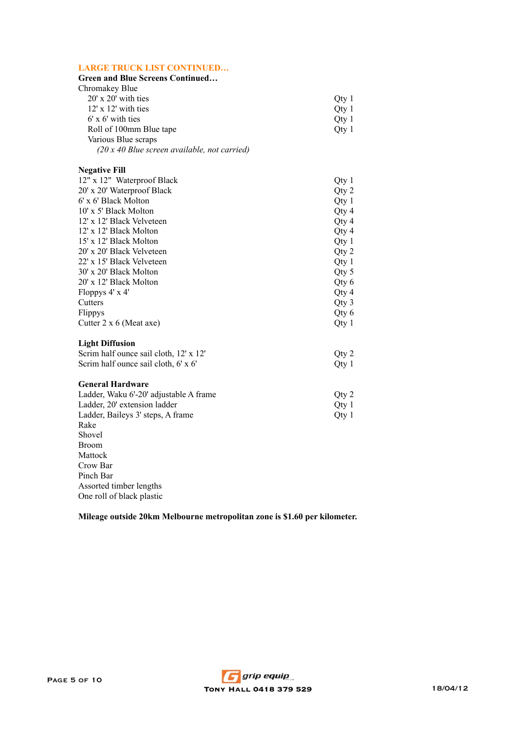### **LARGE TRUCK LIST CONTINUED…**

### **Green and Blue Screens Continued…** Chromakey Blue  $20'$  x  $20'$  with ties  $Qty$  1<br>12' x 12' with ties  $Qty$  1  $12' \times 12'$  with ties  $Qty$  1<br>6' x 6' with ties  $Qty$  1 6' x 6' with ties Qty 1<br>
Roll of 100mm Blue tape Qty 1 Roll of 100mm Blue tape Various Blue scraps *(20 x 40 Blue screen available, not carried)*

### **Negative Fill**

| 12" x 12" Waterproof Black             | Qty 1 |
|----------------------------------------|-------|
| 20' x 20' Waterproof Black             | Qty 2 |
| 6' x 6' Black Molton                   | Qty 1 |
| 10' x 5' Black Molton                  | Qty 4 |
| 12' x 12' Black Velveteen              | Qty 4 |
| 12' x 12' Black Molton                 | Qty 4 |
| 15' x 12' Black Molton                 | Qty 1 |
| 20' x 20' Black Velveteen              | Qty 2 |
| 22' x 15' Black Velveteen              | Qty 1 |
| 30' x 20' Black Molton                 | Qty 5 |
| 20' x 12' Black Molton                 | Qty 6 |
| Floppys $4' \times 4'$                 | Qty 4 |
| Cutters                                | Qty 3 |
| Flippys                                | Qty 6 |
| Cutter $2 \times 6$ (Meat axe)         | Qty 1 |
| <b>Light Diffusion</b>                 |       |
| Scrim half ounce sail cloth, 12' x 12' | Qty 2 |
| Scrim half ounce sail cloth, 6' x 6'   | Qty 1 |
| <b>General Hardware</b>                |       |

| Otv 2            |
|------------------|
| Otv 1            |
| Otv <sub>1</sub> |
|                  |
|                  |
|                  |

Broom Mattock Crow Bar Pinch Bar Assorted timber lengths One roll of black plastic

**Mileage outside 20km Melbourne metropolitan zone is \$1.60 per kilometer.**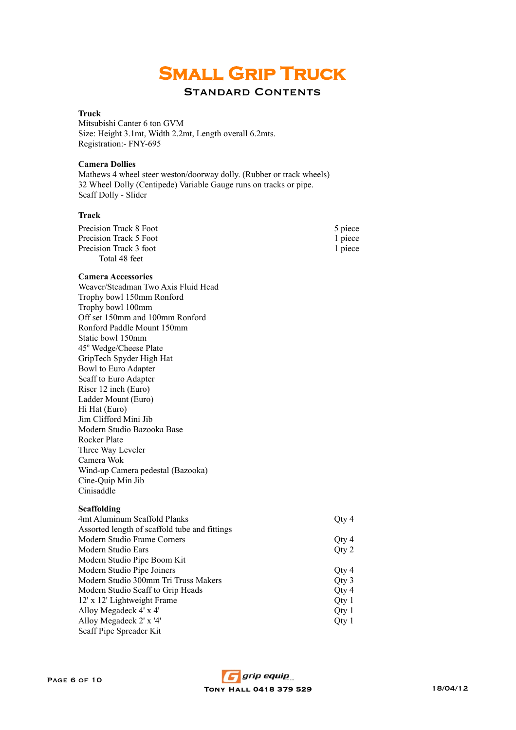# **Small Grip Truck**

## Standard Contents

### **Truck**

Mitsubishi Canter 6 ton GVM Size: Height 3.1mt, Width 2.2mt, Length overall 6.2mts. Registration:- FNY-695

### **Camera Dollies**

Mathews 4 wheel steer weston/doorway dolly. (Rubber or track wheels) Scaff Dolly - Slider 32 Wheel Dolly (Centipede) Variable Gauge runs on tracks or pipe.

### **Track**

| Precision Track 8 Foot<br>Precision Track 5 Foot<br>Precision Track 3 foot<br>Total 48 feet | 5 piece<br>1 piece<br>1 piece |
|---------------------------------------------------------------------------------------------|-------------------------------|
| <b>Camera Accessories</b>                                                                   |                               |
| Weaver/Steadman Two Axis Fluid Head                                                         |                               |
| Trophy bowl 150mm Ronford                                                                   |                               |
| Trophy bowl 100mm                                                                           |                               |
| Off set 150mm and 100mm Ronford                                                             |                               |
| Ronford Paddle Mount 150mm                                                                  |                               |
| Static bowl 150mm                                                                           |                               |
| 45° Wedge/Cheese Plate                                                                      |                               |
| GripTech Spyder High Hat                                                                    |                               |
| Bowl to Euro Adapter                                                                        |                               |
| Scaff to Euro Adapter                                                                       |                               |
| Riser 12 inch (Euro)                                                                        |                               |
| Ladder Mount (Euro)                                                                         |                               |
| Hi Hat (Euro)                                                                               |                               |
| Jim Clifford Mini Jib                                                                       |                               |
| Modern Studio Bazooka Base                                                                  |                               |
| <b>Rocker Plate</b>                                                                         |                               |
| Three Way Leveler                                                                           |                               |
| Camera Wok                                                                                  |                               |
| Wind-up Camera pedestal (Bazooka)                                                           |                               |
| Cine-Quip Min Jib                                                                           |                               |
| Cinisaddle                                                                                  |                               |
| <b>Scaffolding</b>                                                                          |                               |
| 4mt Aluminum Scaffold Planks                                                                | Qty 4                         |
| Assorted length of scaffold tube and fittings                                               |                               |
| Modern Studio Frame Corners                                                                 | Qty 4                         |
| Modern Studio Ears                                                                          | Qty 2                         |
| Modern Studio Pipe Boom Kit                                                                 |                               |
| Modern Studio Pipe Joiners                                                                  | Qty 4                         |
| Modern Studio 300mm Tri Truss Makers                                                        | Qty 3                         |
| Modern Studio Scaff to Grip Heads                                                           | Qty 4                         |
| 12' x 12' Lightweight Frame                                                                 | Qty 1                         |
| Alloy Megadeck 4' x 4'                                                                      | Qty1                          |
| Alloy Megadeck 2' x '4'                                                                     | Qty 1                         |
| Scaff Pipe Spreader Kit                                                                     |                               |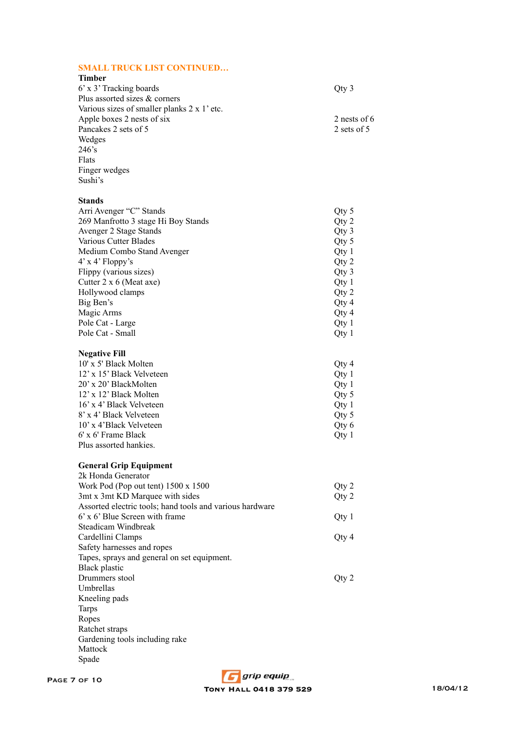### **SMALL TRUCK LIST CONTINUED…**

| Timber                                            |               |
|---------------------------------------------------|---------------|
| 6' x 3' Tracking boards                           | Qty 3         |
| Plus assorted sizes & corners                     |               |
| Various sizes of smaller planks $2 \times 1$ etc. |               |
| Apple boxes 2 nests of six                        | 2 nests of 6  |
| Pancakes 2 sets of 5                              | 2 sets of $5$ |
| Wedges                                            |               |
| $246$ 's                                          |               |
| Flats                                             |               |
| Finger wedges                                     |               |
| Sushi's                                           |               |
|                                                   |               |

## **Stands**

| Arri Avenger "C" Stands             | Qty 5 |
|-------------------------------------|-------|
| 269 Manfrotto 3 stage Hi Boy Stands | Qty 2 |
| Avenger 2 Stage Stands              | Qty 3 |
| Various Cutter Blades               | Qty 5 |
| Medium Combo Stand Avenger          | Qty 1 |
| $4'$ x $4'$ Floppy's                | Qty 2 |
| Flippy (various sizes)              | Qty 3 |
| Cutter $2 \times 6$ (Meat axe)      | Qty 1 |
| Hollywood clamps                    | Qty 2 |
| Big Ben's                           | Qty 4 |
| Magic Arms                          | Qty 4 |
| Pole Cat - Large                    | Qty 1 |
| Pole Cat - Small                    | Qty1  |

# **Negative Fill**

| 10' x 5' Black Molten     | Qty 4   |
|---------------------------|---------|
| 12' x 15' Black Velveteen | Qty 1   |
| 20' x 20' BlackMolten     | Qty 1   |
| 12' x 12' Black Molten    | Qty 5   |
| 16' x 4' Black Velveteen  | Qty 1   |
| 8' x 4' Black Velveteen   | Qty 5   |
| 10' x 4'Black Velveteen   | Qty 6   |
| 6' x 6' Frame Black       | Oty $1$ |
| Plus assorted hankies.    |         |

# **General Grip Equipment**

| 2k Honda Generator                                       |       |
|----------------------------------------------------------|-------|
| Work Pod (Pop out tent) $1500 \times 1500$               | Qty 2 |
| 3mt x 3mt KD Marquee with sides                          | Qty 2 |
| Assorted electric tools; hand tools and various hardware |       |
| $6'$ x $6'$ Blue Screen with frame                       | Qty 1 |
| Steadicam Windbreak                                      |       |
| Cardellini Clamps                                        | Qty 4 |
| Safety harnesses and ropes                               |       |
| Tapes, sprays and general on set equipment.              |       |
| Black plastic                                            |       |
| Drummers stool                                           | Oty 2 |
| Umbrellas                                                |       |
| Kneeling pads                                            |       |
| Tarps                                                    |       |
| Ropes                                                    |       |
| Ratchet straps                                           |       |
| Gardening tools including rake                           |       |
| Mattock                                                  |       |
| Spade                                                    |       |
|                                                          |       |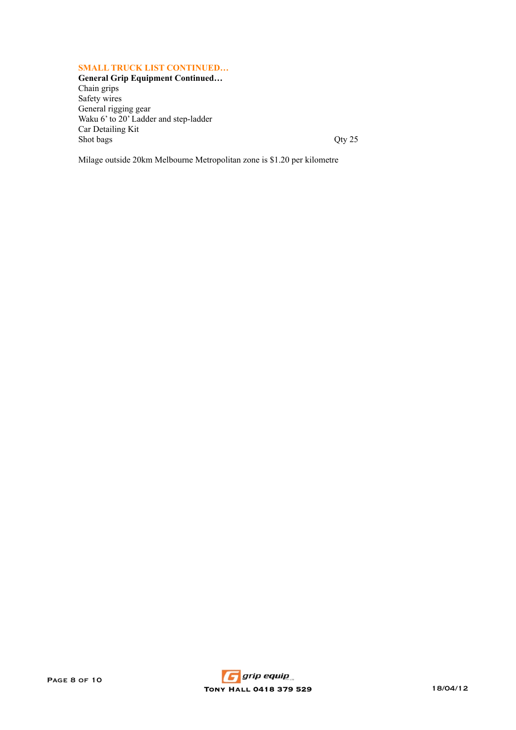### **SMALL TRUCK LIST CONTINUED…**

**General Grip Equipment Continued…** Chain grips Safety wires General rigging gear Waku 6' to 20' Ladder and step-ladder Car Detailing Kit Shot bags  $Qty 25$ 

Milage outside 20km Melbourne Metropolitan zone is \$1.20 per kilometre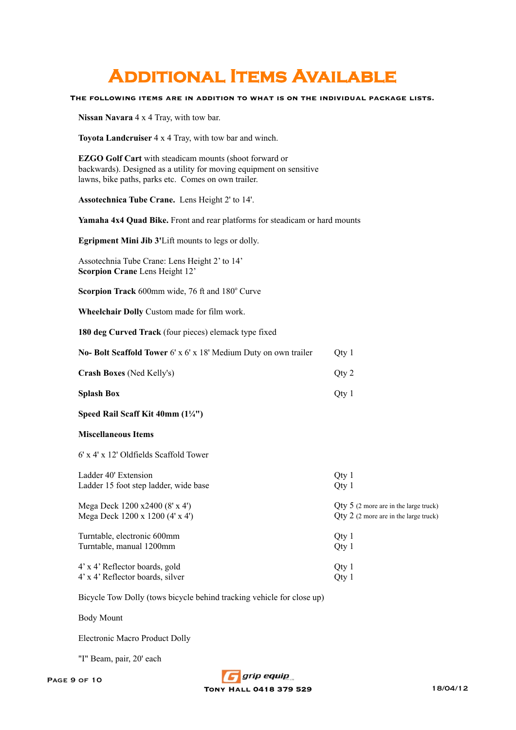# **Additional Items Available**

**The following items are in addition to what is on the individual package lists.**

**Nissan Navara** 4 x 4 Tray, with tow bar.

**Toyota Landcruiser** 4 x 4 Tray, with tow bar and winch.

**EZGO Golf Cart** with steadicam mounts (shoot forward or backwards). Designed as a utility for moving equipment on sensitive lawns, bike paths, parks etc. Comes on own trailer.

**Assotechnica Tube Crane.** Lens Height 2' to 14'.

**Yamaha 4x4 Quad Bike.** Front and rear platforms for steadicam or hard mounts

**Egripment Mini Jib 3'**Lift mounts to legs or dolly.

Assotechnia Tube Crane: Lens Height 2' to 14' **Scorpion Crane** Lens Height 12'

Scorpion Track 600mm wide, 76 ft and 180° Curve

**Wheelchair Dolly** Custom made for film work.

**180 deg Curved Track** (four pieces) elemack type fixed

| No- Bolt Scaffold Tower $6' \times 6' \times 18'$ Medium Duty on own trailer | Otv 1 |
|------------------------------------------------------------------------------|-------|
| <b>Crash Boxes</b> (Ned Kelly's)                                             | Otv 2 |

- **Splash Box** Qty 1
- **Speed Rail Scaff Kit 40mm (1¼")**

### **Miscellaneous Items**

6' x 4' x 12' Oldfields Scaffold Tower

| Ladder 40' Extension                  | Qty 1                                   |
|---------------------------------------|-----------------------------------------|
| Ladder 15 foot step ladder, wide base | Qty 1                                   |
| Mega Deck 1200 x2400 (8' x 4')        | $Qty 5$ (2 more are in the large truck) |
| Mega Deck 1200 x 1200 (4' x 4')       | $Qty$ 2 (2 more are in the large truck) |
| Turntable, electronic 600mm           | Oty $1$                                 |
| Turntable, manual 1200mm              | Qty 1                                   |
| 4' x 4' Reflector boards, gold        | Qty 1                                   |
| 4' x 4' Reflector boards, silver      | Qty 1                                   |

Bicycle Tow Dolly (tows bicycle behind tracking vehicle for close up)

Body Mount

Electronic Macro Product Dolly

"I" Beam, pair, 20' each